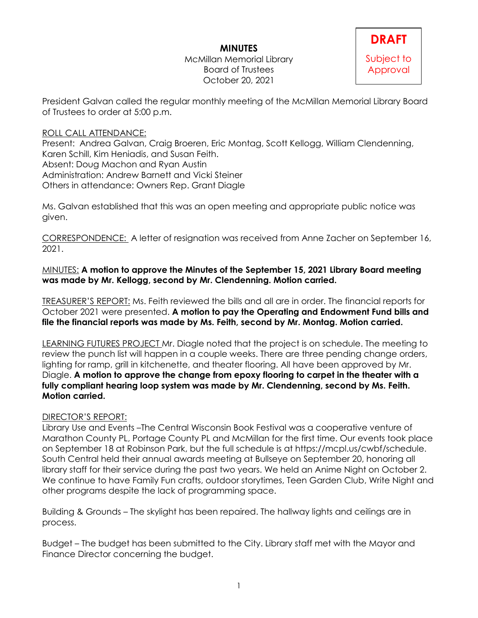## **MINUTES**

McMillan Memorial Library Board of Trustees October 20, 2021

President Galvan called the regular monthly meeting of the McMillan Memorial Library Board of Trustees to order at 5:00 p.m.

## ROLL CALL ATTENDANCE:

Present: Andrea Galvan, Craig Broeren, Eric Montag, Scott Kellogg, William Clendenning, Karen Schill, Kim Heniadis, and Susan Feith. Absent: Doug Machon and Ryan Austin Administration: Andrew Barnett and Vicki Steiner Others in attendance: Owners Rep. Grant Diagle

Ms. Galvan established that this was an open meeting and appropriate public notice was given.

CORRESPONDENCE: A letter of resignation was received from Anne Zacher on September 16, 2021.

MINUTES: **A motion to approve the Minutes of the September 15, 2021 Library Board meeting was made by Mr. Kellogg, second by Mr. Clendenning. Motion carried.** 

TREASURER'S REPORT: Ms. Feith reviewed the bills and all are in order. The financial reports for October 2021 were presented. **A motion to pay the Operating and Endowment Fund bills and file the financial reports was made by Ms. Feith, second by Mr. Montag. Motion carried.**

LEARNING FUTURES PROJECT Mr. Diagle noted that the project is on schedule. The meeting to review the punch list will happen in a couple weeks. There are three pending change orders, lighting for ramp, grill in kitchenette, and theater flooring. All have been approved by Mr. Diagle. **A motion to approve the change from epoxy flooring to carpet in the theater with a fully compliant hearing loop system was made by Mr. Clendenning, second by Ms. Feith. Motion carried.**

## DIRECTOR'S REPORT:

Library Use and Events –The Central Wisconsin Book Festival was a cooperative venture of Marathon County PL, Portage County PL and McMillan for the first time. Our events took place on September 18 at Robinson Park, but the full schedule is at https://mcpl.us/cwbf/schedule. South Central held their annual awards meeting at Bullseye on September 20, honoring all library staff for their service during the past two years. We held an Anime Night on October 2. We continue to have Family Fun crafts, outdoor storytimes, Teen Garden Club, Write Night and other programs despite the lack of programming space.

Building & Grounds – The skylight has been repaired. The hallway lights and ceilings are in process.

Budget – The budget has been submitted to the City. Library staff met with the Mayor and Finance Director concerning the budget.